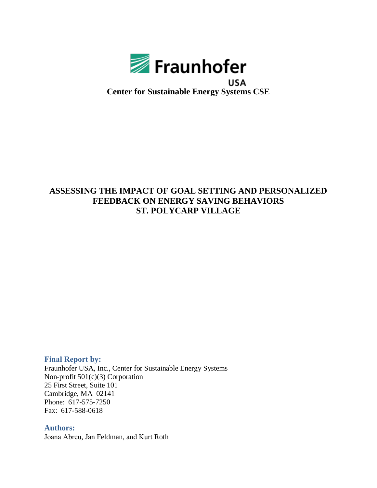

# **ASSESSING THE IMPACT OF GOAL SETTING AND PERSONALIZED FEEDBACK ON ENERGY SAVING BEHAVIORS ST. POLYCARP VILLAGE**

#### **Final Report by:**

Fraunhofer USA, Inc., Center for Sustainable Energy Systems Non-profit 501(c)(3) Corporation 25 First Street, Suite 101 Cambridge, MA 02141 Phone: 617-575-7250 Fax: 617-588-0618

#### **Authors:**

Joana Abreu, Jan Feldman, and Kurt Roth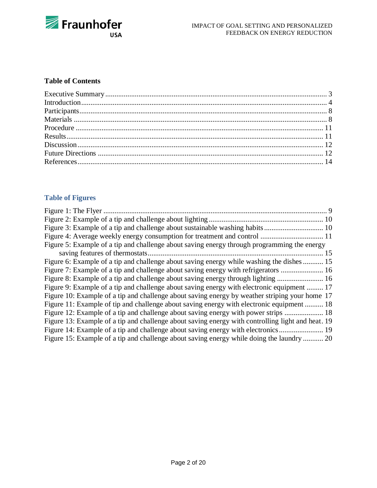

#### **Table of Contents**

#### **Table of Figures**

|                                                                                                   | 9  |
|---------------------------------------------------------------------------------------------------|----|
|                                                                                                   |    |
|                                                                                                   |    |
|                                                                                                   |    |
| Figure 5: Example of a tip and challenge about saving energy through programming the energy       |    |
|                                                                                                   | 15 |
| Figure 6: Example of a tip and challenge about saving energy while washing the dishes  15         |    |
|                                                                                                   |    |
| Figure 8: Example of a tip and challenge about saving energy through lighting                     |    |
| Figure 9: Example of a tip and challenge about saving energy with electronic equipment  17        |    |
| Figure 10: Example of a tip and challenge about saving energy by weather striping your home 17    |    |
| Figure 11: Example of tip and challenge about saving energy with electronic equipment  18         |    |
| Figure 12: Example of a tip and challenge about saving energy with power strips  18               |    |
| Figure 13: Example of a tip and challenge about saving energy with controlling light and heat. 19 |    |
|                                                                                                   |    |
| Figure 15: Example of a tip and challenge about saving energy while doing the laundry  20         |    |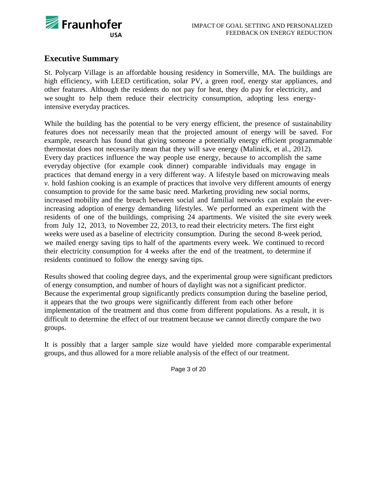

#### **Executive Summary**

St. Polycarp Village is an affordable housing residency in Somerville, MA. The buildings are high efficiency, with LEED certification, solar PV, a green roof, energy star appliances, and other features. Although the residents do not pay for heat, they do pay for electricity, and we sought to help them reduce their electricity consumption, adopting less energyintensive everyday practices.

While the building has the potential to be very energy efficient, the presence of sustainability features does not necessarily mean that the projected amount of energy will be saved. For example, research has found that giving someone a potentially energy efficient programmable thermostat does not necessarily mean that they will save energy (Malinick, et al., 2012). Every day practices influence the way people use energy, because to accomplish the same everyday objective (for example cook dinner) comparable individuals may engage in practices that demand energy in a very different way. A lifestyle based on microwaving meals *v.* hold fashion cooking is an example of practices that involve very different amounts of energy consumption to provide for the same basic need. Marketing providing new social norms, increased mobility and the breach between social and familial networks can explain the everincreasing adoption of energy demanding lifestyles. We performed an experiment with the residents of one of the buildings, comprising 24 apartments. We visited the site every week from July 12, 2013, to November 22, 2013, to read their electricity meters. The first eight weeks were used as a baseline of electricity consumption. During the second 8-week period, we mailed energy saving tips to half of the apartments every week. We continued to record their electricity consumption for 4 weeks after the end of the treatment, to determine if residents continued to follow the energy saving tips.

Results showed that cooling degree days, and the experimental group were significant predictors of energy consumption, and number of hours of daylight was not a significant predictor. Because the experimental group significantly predicts consumption during the baseline period, it appears that the two groups were significantly different from each other before implementation of the treatment and thus come from different populations. As a result, it is difficult to determine the effect of our treatment because we cannot directly compare the two groups.

It is possibly that a larger sample size would have yielded more comparable experimental groups, and thus allowed for a more reliable analysis of the effect of our treatment.

Page 3 of 20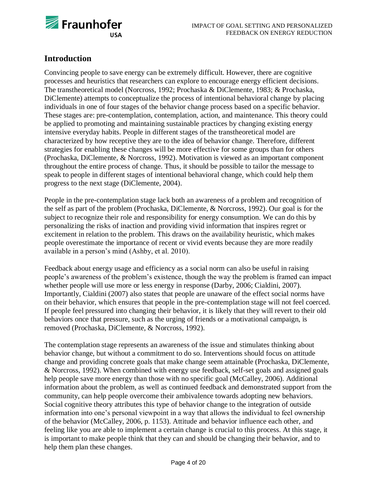

# **Introduction**

Convincing people to save energy can be extremely difficult. However, there are cognitive processes and heuristics that researchers can explore to encourage energy efficient decisions. The transtheoretical model (Norcross, 1992; Prochaska & DiClemente, 1983; & Prochaska, DiClemente) attempts to conceptualize the process of intentional behavioral change by placing individuals in one of four stages of the behavior change process based on a specific behavior. These stages are: pre-contemplation, contemplation, action, and maintenance. This theory could be applied to promoting and maintaining sustainable practices by changing existing energy intensive everyday habits. People in different stages of the transtheoretical model are characterized by how receptive they are to the idea of behavior change. Therefore, different strategies for enabling these changes will be more effective for some groups than for others (Prochaska, DiClemente, & Norcross, 1992). Motivation is viewed as an important component throughout the entire process of change. Thus, it should be possible to tailor the message to speak to people in different stages of intentional behavioral change, which could help them progress to the next stage (DiClemente, 2004).

People in the pre-contemplation stage lack both an awareness of a problem and recognition of the self as part of the problem (Prochaska, DiClemente, & Norcross, 1992). Our goal is for the subject to recognize their role and responsibility for energy consumption. We can do this by personalizing the risks of inaction and providing vivid information that inspires regret or excitement in relation to the problem. This draws on the availability heuristic, which makes people overestimate the importance of recent or vivid events because they are more readily available in a person's mind (Ashby, et al. 2010).

Feedback about energy usage and efficiency as a social norm can also be useful in raising people's awareness of the problem's existence, though the way the problem is framed can impact whether people will use more or less energy in response (Darby, 2006; Cialdini, 2007). Importantly, Cialdini (2007) also states that people are unaware of the effect social norms have on their behavior, which ensures that people in the pre-contemplation stage will not feel coerced. If people feel pressured into changing their behavior, it is likely that they will revert to their old behaviors once that pressure, such as the urging of friends or a motivational campaign, is removed (Prochaska, DiClemente, & Norcross, 1992).

The contemplation stage represents an awareness of the issue and stimulates thinking about behavior change, but without a commitment to do so. Interventions should focus on attitude change and providing concrete goals that make change seem attainable (Prochaska, DiClemente, & Norcross, 1992). When combined with energy use feedback, self-set goals and assigned goals help people save more energy than those with no specific goal (McCalley, 2006). Additional information about the problem, as well as continued feedback and demonstrated support from the community, can help people overcome their ambivalence towards adopting new behaviors. Social cognitive theory attributes this type of behavior change to the integration of outside information into one's personal viewpoint in a way that allows the individual to feel ownership of the behavior (McCalley, 2006, p. 1153). Attitude and behavior influence each other, and feeling like you are able to implement a certain change is crucial to this process. At this stage, it is important to make people think that they can and should be changing their behavior, and to help them plan these changes.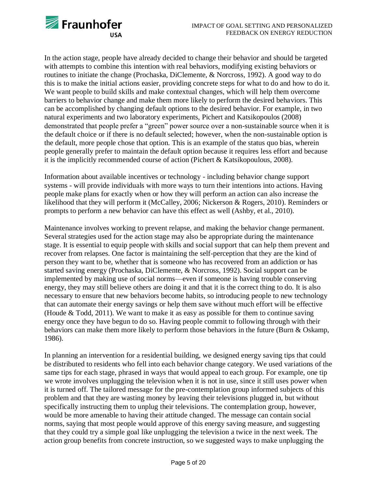

In the action stage, people have already decided to change their behavior and should be targeted with attempts to combine this intention with real behaviors, modifying existing behaviors or routines to initiate the change (Prochaska, DiClemente, & Norcross, 1992). A good way to do this is to make the initial actions easier, providing concrete steps for what to do and how to do it. We want people to build skills and make contextual changes, which will help them overcome barriers to behavior change and make them more likely to perform the desired behaviors. This can be accomplished by changing default options to the desired behavior. For example, in two natural experiments and two laboratory experiments, Pichert and Katsikopoulos (2008) demonstrated that people prefer a "green" power source over a non-sustainable source when it is the default choice or if there is no default selected; however, when the non-sustainable option is the default, more people chose that option. This is an example of the status quo bias, wherein people generally prefer to maintain the default option because it requires less effort and because it is the implicitly recommended course of action (Pichert & Katsikopoulous, 2008).

Information about available incentives or technology - including behavior change support systems - will provide individuals with more ways to turn their intentions into actions. Having people make plans for exactly when or how they will perform an action can also increase the likelihood that they will perform it (McCalley, 2006; Nickerson & Rogers, 2010). Reminders or prompts to perform a new behavior can have this effect as well (Ashby, et al., 2010).

Maintenance involves working to prevent relapse, and making the behavior change permanent. Several strategies used for the action stage may also be appropriate during the maintenance stage. It is essential to equip people with skills and social support that can help them prevent and recover from relapses. One factor is maintaining the self-perception that they are the kind of person they want to be, whether that is someone who has recovered from an addiction or has started saving energy (Prochaska, DiClemente, & Norcross, 1992). Social support can be implemented by making use of social norms—even if someone is having trouble conserving energy, they may still believe others are doing it and that it is the correct thing to do. It is also necessary to ensure that new behaviors become habits, so introducing people to new technology that can automate their energy savings or help them save without much effort will be effective (Houde & Todd, 2011). We want to make it as easy as possible for them to continue saving energy once they have begun to do so. Having people commit to following through with their behaviors can make them more likely to perform those behaviors in the future (Burn & Oskamp, 1986).

In planning an intervention for a residential building, we designed energy saving tips that could be distributed to residents who fell into each behavior change category. We used variations of the same tips for each stage, phrased in ways that would appeal to each group. For example, one tip we wrote involves unplugging the television when it is not in use, since it still uses power when it is turned off. The tailored message for the pre-contemplation group informed subjects of this problem and that they are wasting money by leaving their televisions plugged in, but without specifically instructing them to unplug their televisions. The contemplation group, however, would be more amenable to having their attitude changed. The message can contain social norms, saying that most people would approve of this energy saving measure, and suggesting that they could try a simple goal like unplugging the television a twice in the next week. The action group benefits from concrete instruction, so we suggested ways to make unplugging the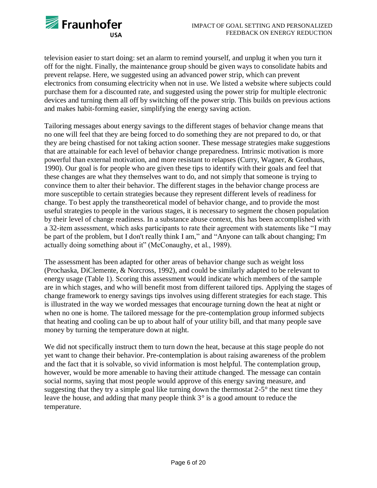

television easier to start doing: set an alarm to remind yourself, and unplug it when you turn it off for the night. Finally, the maintenance group should be given ways to consolidate habits and prevent relapse. Here, we suggested using an advanced power strip, which can prevent electronics from consuming electricity when not in use. We listed a website where subjects could purchase them for a discounted rate, and suggested using the power strip for multiple electronic devices and turning them all off by switching off the power strip. This builds on previous actions and makes habit-forming easier, simplifying the energy saving action.

Tailoring messages about energy savings to the different stages of behavior change means that no one will feel that they are being forced to do something they are not prepared to do, or that they are being chastised for not taking action sooner. These message strategies make suggestions that are attainable for each level of behavior change preparedness. Intrinsic motivation is more powerful than external motivation, and more resistant to relapses (Curry, Wagner, & Grothaus, 1990). Our goal is for people who are given these tips to identify with their goals and feel that these changes are what they themselves want to do, and not simply that someone is trying to convince them to alter their behavior. The different stages in the behavior change process are more susceptible to certain strategies because they represent different levels of readiness for change. To best apply the transtheoretical model of behavior change, and to provide the most useful strategies to people in the various stages, it is necessary to segment the chosen population by their level of change readiness. In a substance abuse context, this has been accomplished with a 32-item assessment, which asks participants to rate their agreement with statements like "I may be part of the problem, but I don't really think I am," and "Anyone can talk about changing; I'm actually doing something about it" (McConaughy, et al., 1989).

The assessment has been adapted for other areas of behavior change such as weight loss (Prochaska, DiClemente, & Norcross, 1992), and could be similarly adapted to be relevant to energy usage (Table 1). Scoring this assessment would indicate which members of the sample are in which stages, and who will benefit most from different tailored tips. Applying the stages of change framework to energy savings tips involves using different strategies for each stage. This is illustrated in the way we worded messages that encourage turning down the heat at night or when no one is home. The tailored message for the pre-contemplation group informed subjects that heating and cooling can be up to about half of your utility bill, and that many people save money by turning the temperature down at night.

We did not specifically instruct them to turn down the heat, because at this stage people do not yet want to change their behavior. Pre-contemplation is about raising awareness of the problem and the fact that it is solvable, so vivid information is most helpful. The contemplation group, however, would be more amenable to having their attitude changed. The message can contain social norms, saying that most people would approve of this energy saving measure, and suggesting that they try a simple goal like turning down the thermostat  $2-5^\circ$  the next time they leave the house, and adding that many people think 3° is a good amount to reduce the temperature.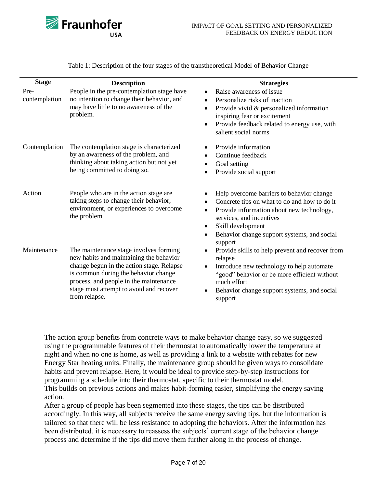

| <b>Stage</b>          | <b>Description</b>                                                                                                                                                                                                                                                           | <b>Strategies</b>                                                                                                                                                                                                                                                                |
|-----------------------|------------------------------------------------------------------------------------------------------------------------------------------------------------------------------------------------------------------------------------------------------------------------------|----------------------------------------------------------------------------------------------------------------------------------------------------------------------------------------------------------------------------------------------------------------------------------|
| Pre-<br>contemplation | People in the pre-contemplation stage have<br>no intention to change their behavior, and<br>may have little to no awareness of the<br>problem.                                                                                                                               | Raise awareness of issue<br>$\bullet$<br>Personalize risks of inaction<br>Provide vivid & personalized information<br>$\bullet$<br>inspiring fear or excitement<br>Provide feedback related to energy use, with<br>salient social norms                                          |
| Contemplation         | The contemplation stage is characterized<br>by an awareness of the problem, and<br>thinking about taking action but not yet<br>being committed to doing so.                                                                                                                  | Provide information<br>Continue feedback<br>Goal setting<br>$\bullet$<br>Provide social support                                                                                                                                                                                  |
| Action                | People who are in the action stage are<br>taking steps to change their behavior,<br>environment, or experiences to overcome<br>the problem.                                                                                                                                  | Help overcome barriers to behavior change<br>Concrete tips on what to do and how to do it<br>Provide information about new technology,<br>$\bullet$<br>services, and incentives<br>Skill development<br>٠<br>Behavior change support systems, and social<br>$\bullet$<br>support |
| Maintenance           | The maintenance stage involves forming<br>new habits and maintaining the behavior<br>change begun in the action stage. Relapse<br>is common during the behavior change<br>process, and people in the maintenance<br>stage must attempt to avoid and recover<br>from relapse. | Provide skills to help prevent and recover from<br>relapse<br>Introduce new technology to help automate<br>$\bullet$<br>"good" behavior or be more efficient without<br>much effort<br>Behavior change support systems, and social<br>٠<br>support                               |

Table 1: Description of the four stages of the transtheoretical Model of Behavior Change

The action group benefits from concrete ways to make behavior change easy, so we suggested using the programmable features of their thermostat to automatically lower the temperature at night and when no one is home, as well as providing a link to a website with rebates for new Energy Star heating units. Finally, the maintenance group should be given ways to consolidate habits and prevent relapse. Here, it would be ideal to provide step-by-step instructions for programming a schedule into their thermostat, specific to their thermostat model. This builds on previous actions and makes habit-forming easier, simplifying the energy saving

action.

After a group of people has been segmented into these stages, the tips can be distributed accordingly. In this way, all subjects receive the same energy saving tips, but the information is tailored so that there will be less resistance to adopting the behaviors. After the information has been distributed, it is necessary to reassess the subjects' current stage of the behavior change process and determine if the tips did move them further along in the process of change.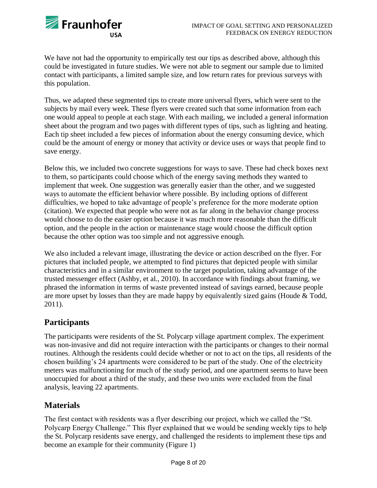

We have not had the opportunity to empirically test our tips as described above, although this could be investigated in future studies. We were not able to segment our sample due to limited contact with participants, a limited sample size, and low return rates for previous surveys with this population.

Thus, we adapted these segmented tips to create more universal flyers, which were sent to the subjects by mail every week. These flyers were created such that some information from each one would appeal to people at each stage. With each mailing, we included a general information sheet about the program and two pages with different types of tips, such as lighting and heating. Each tip sheet included a few pieces of information about the energy consuming device, which could be the amount of energy or money that activity or device uses or ways that people find to save energy.

Below this, we included two concrete suggestions for ways to save. These had check boxes next to them, so participants could choose which of the energy saving methods they wanted to implement that week. One suggestion was generally easier than the other, and we suggested ways to automate the efficient behavior where possible. By including options of different difficulties, we hoped to take advantage of people's preference for the more moderate option (citation). We expected that people who were not as far along in the behavior change process would choose to do the easier option because it was much more reasonable than the difficult option, and the people in the action or maintenance stage would choose the difficult option because the other option was too simple and not aggressive enough.

We also included a relevant image, illustrating the device or action described on the flyer. For pictures that included people, we attempted to find pictures that depicted people with similar characteristics and in a similar environment to the target population, taking advantage of the trusted messenger effect (Ashby, et al., 2010). In accordance with findings about framing, we phrased the information in terms of waste prevented instead of savings earned, because people are more upset by losses than they are made happy by equivalently sized gains (Houde & Todd, 2011).

# **Participants**

The participants were residents of the St. Polycarp village apartment complex. The experiment was non-invasive and did not require interaction with the participants or changes to their normal routines. Although the residents could decide whether or not to act on the tips, all residents of the chosen building's 24 apartments were considered to be part of the study. One of the electricity meters was malfunctioning for much of the study period, and one apartment seems to have been unoccupied for about a third of the study, and these two units were excluded from the final analysis, leaving 22 apartments.

### **Materials**

The first contact with residents was a flyer describing our project, which we called the "St. Polycarp Energy Challenge." This flyer explained that we would be sending weekly tips to help the St. Polycarp residents save energy, and challenged the residents to implement these tips and become an example for their community (Figure 1)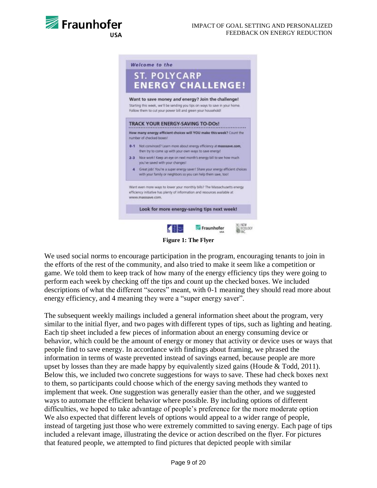



**Figure 1: The Flyer**

We used social norms to encourage participation in the program, encouraging tenants to join in the efforts of the rest of the community, and also tried to make it seem like a competition or game. We told them to keep track of how many of the energy efficiency tips they were going to perform each week by checking off the tips and count up the checked boxes. We included descriptions of what the different "scores" meant, with 0-1 meaning they should read more about energy efficiency, and 4 meaning they were a "super energy saver".

The subsequent weekly mailings included a general information sheet about the program, very similar to the initial flyer, and two pages with different types of tips, such as lighting and heating. Each tip sheet included a few pieces of information about an energy consuming device or behavior, which could be the amount of energy or money that activity or device uses or ways that people find to save energy. In accordance with findings about framing, we phrased the information in terms of waste prevented instead of savings earned, because people are more upset by losses than they are made happy by equivalently sized gains (Houde  $&$  Todd, 2011). Below this, we included two concrete suggestions for ways to save. These had check boxes next to them, so participants could choose which of the energy saving methods they wanted to implement that week. One suggestion was generally easier than the other, and we suggested ways to automate the efficient behavior where possible. By including options of different difficulties, we hoped to take advantage of people's preference for the more moderate option We also expected that different levels of options would appeal to a wider range of people, instead of targeting just those who were extremely committed to saving energy. Each page of tips included a relevant image, illustrating the device or action described on the flyer. For pictures that featured people, we attempted to find pictures that depicted people with similar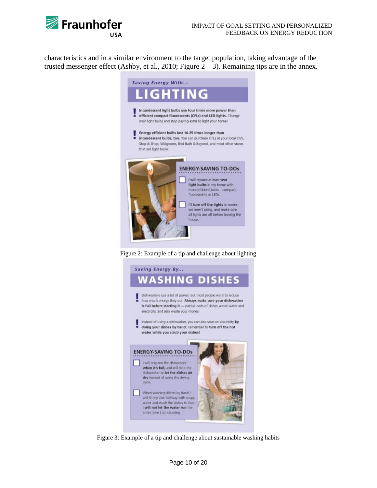

characteristics and in a similar environment to the target population, taking advantage of the trusted messenger effect (Ashby, et al., 2010; Figure  $2-3$ ). Remaining tips are in the annex.



Figure 2: Example of a tip and challenge about lighting



Figure 3: Example of a tip and challenge about sustainable washing habits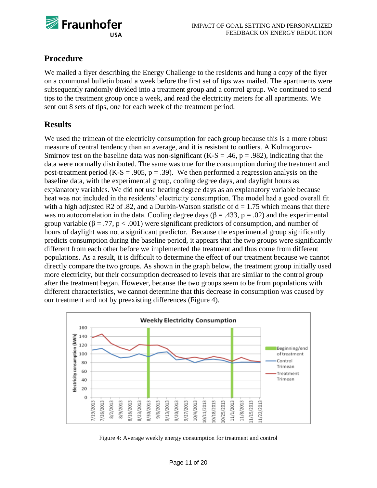

# **Procedure**

We mailed a flyer describing the Energy Challenge to the residents and hung a copy of the flyer on a communal bulletin board a week before the first set of tips was mailed. The apartments were subsequently randomly divided into a treatment group and a control group. We continued to send tips to the treatment group once a week, and read the electricity meters for all apartments. We sent out 8 sets of tips, one for each week of the treatment period.

# **Results**

We used the trimean of the electricity consumption for each group because this is a more robust measure of central tendency than an average, and it is resistant to outliers. A Kolmogorov-Smirnov test on the baseline data was non-significant (K-S = .46,  $p = .982$ ), indicating that the data were normally distributed. The same was true for the consumption during the treatment and post-treatment period (K-S = .905, p = .39). We then performed a regression analysis on the baseline data, with the experimental group, cooling degree days, and daylight hours as explanatory variables. We did not use heating degree days as an explanatory variable because heat was not included in the residents' electricity consumption. The model had a good overall fit with a high adjusted R2 of .82, and a Durbin-Watson statistic of  $d = 1.75$  which means that there was no autocorrelation in the data. Cooling degree days ( $\beta = .433$ ,  $p = .02$ ) and the experimental group variable ( $\beta = .77$ ,  $p < .001$ ) were significant predictors of consumption, and number of hours of daylight was not a significant predictor. Because the experimental group significantly predicts consumption during the baseline period, it appears that the two groups were significantly different from each other before we implemented the treatment and thus come from different populations. As a result, it is difficult to determine the effect of our treatment because we cannot directly compare the two groups. As shown in the graph below, the treatment group initially used more electricity, but their consumption decreased to levels that are similar to the control group after the treatment began. However, because the two groups seem to be from populations with different characteristics, we cannot determine that this decrease in consumption was caused by our treatment and not by preexisting differences (Figure 4).



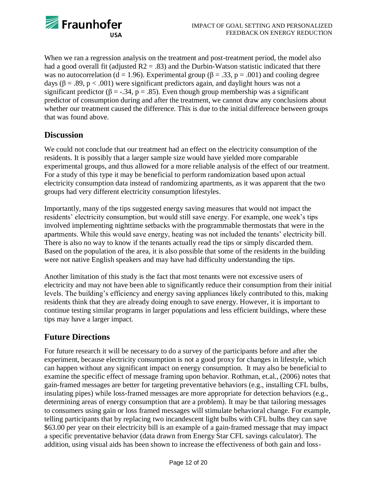

When we ran a regression analysis on the treatment and post-treatment period, the model also had a good overall fit (adjusted  $R2 = .83$ ) and the Durbin-Watson statistic indicated that there was no autocorrelation (d = 1.96). Experimental group ( $\beta$  = .33, p = .001) and cooling degree days ( $\beta$  = .89, p < .001) were significant predictors again, and daylight hours was not a significant predictor ( $\beta = -0.34$ , p = 0.85). Even though group membership was a significant predictor of consumption during and after the treatment, we cannot draw any conclusions about whether our treatment caused the difference. This is due to the initial difference between groups that was found above.

### **Discussion**

We could not conclude that our treatment had an effect on the electricity consumption of the residents. It is possibly that a larger sample size would have yielded more comparable experimental groups, and thus allowed for a more reliable analysis of the effect of our treatment. For a study of this type it may be beneficial to perform randomization based upon actual electricity consumption data instead of randomizing apartments, as it was apparent that the two groups had very different electricity consumption lifestyles.

Importantly, many of the tips suggested energy saving measures that would not impact the residents' electricity consumption, but would still save energy. For example, one week's tips involved implementing nighttime setbacks with the programmable thermostats that were in the apartments. While this would save energy, heating was not included the tenants' electricity bill. There is also no way to know if the tenants actually read the tips or simply discarded them. Based on the population of the area, it is also possible that some of the residents in the building were not native English speakers and may have had difficulty understanding the tips.

Another limitation of this study is the fact that most tenants were not excessive users of electricity and may not have been able to significantly reduce their consumption from their initial levels. The building's efficiency and energy saving appliances likely contributed to this, making residents think that they are already doing enough to save energy. However, it is important to continue testing similar programs in larger populations and less efficient buildings, where these tips may have a larger impact.

# **Future Directions**

For future research it will be necessary to do a survey of the participants before and after the experiment, because electricity consumption is not a good proxy for changes in lifestyle, which can happen without any significant impact on energy consumption. It may also be beneficial to examine the specific effect of message framing upon behavior. Rothman, et.al., (2006) notes that gain-framed messages are better for targeting preventative behaviors (e.g., installing CFL bulbs, insulating pipes) while loss-framed messages are more appropriate for detection behaviors (e.g., determining areas of energy consumption that are a problem). It may be that tailoring messages to consumers using gain or loss framed messages will stimulate behavioral change. For example, telling participants that by replacing two incandescent light bulbs with CFL bulbs they can save \$63.00 per year on their electricity bill is an example of a gain-framed message that may impact a specific preventative behavior (data drawn from Energy Star CFL savings calculator). The addition, using visual aids has been shown to increase the effectiveness of both gain and loss-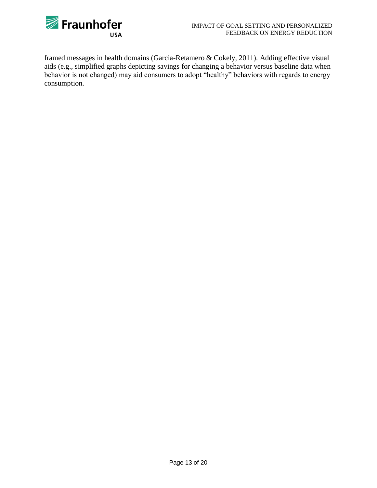

framed messages in health domains (Garcia-Retamero & Cokely, 2011). Adding effective visual aids (e.g., simplified graphs depicting savings for changing a behavior versus baseline data when behavior is not changed) may aid consumers to adopt "healthy" behaviors with regards to energy consumption.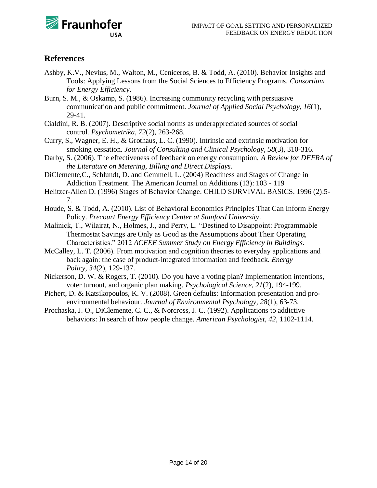

# **References**

- Ashby, K.V., Nevius, M., Walton, M., Ceniceros, B. & Todd, A. (2010). Behavior Insights and Tools: Applying Lessons from the Social Sciences to Efficiency Programs. *Consortium for Energy Efficiency*.
- Burn, S. M., & Oskamp, S. (1986). Increasing community recycling with persuasive communication and public commitment. *Journal of Applied Social Psychology*, *16*(1), 29-41.
- Cialdini, R. B. (2007). Descriptive social norms as underappreciated sources of social control. *Psychometrika*, *72*(2), 263-268.
- Curry, S., Wagner, E. H., & Grothaus, L. C. (1990). Intrinsic and extrinsic motivation for smoking cessation. *Journal of Consulting and Clinical Psychology*, *58*(3), 310-316.
- Darby, S. (2006). The effectiveness of feedback on energy consumption. *A Review for DEFRA of the Literature on Metering, Billing and Direct Displays*.
- DiClemente,C., Schlundt, D. and Gemmell, L. (2004) Readiness and Stages of Change in Addiction Treatment. The American Journal on Additions (13): 103 - 119
- Helitzer-Allen D. (1996) Stages of Behavior Change. CHILD SURVIVAL BASICS. 1996 (2):5- 7.
- Houde, S. & Todd, A. (2010). List of Behavioral Economics Principles That Can Inform Energy Policy. *Precourt Energy Efficiency Center at Stanford University*.
- Malinick, T., Wilairat, N., Holmes, J., and Perry, L. "Destined to Disappoint: Programmable Thermostat Savings are Only as Good as the Assumptions about Their Operating Characteristics." 2012 *ACEEE Summer Study on Energy Efficiency in Buildings*.
- McCalley, L. T. (2006). From motivation and cognition theories to everyday applications and back again: the case of product-integrated information and feedback. *Energy Policy*, *34*(2), 129-137.
- Nickerson, D. W. & Rogers, T. (2010). Do you have a voting plan? Implementation intentions, voter turnout, and organic plan making. *Psychological Science*, *21*(2), 194-199.
- Pichert, D. & Katsikopoulos, K. V. (2008). Green defaults: Information presentation and proenvironmental behaviour. *Journal of Environmental Psychology*, *28*(1), 63-73.
- Prochaska, J. O., DiClemente, C. C., & Norcross, J. C. (1992). Applications to addictive behaviors: In search of how people change. *American Psychologist*, *42*, 1102-1114.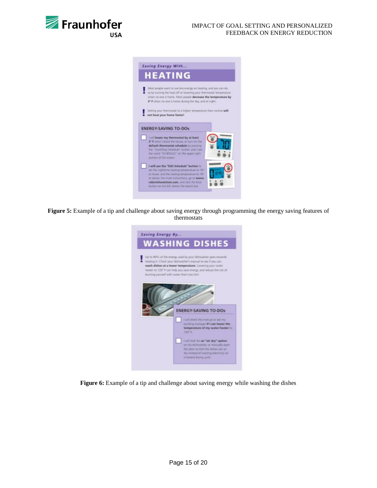



**Figure 5:** Example of a tip and challenge about saving energy through programming the energy saving features of thermostats



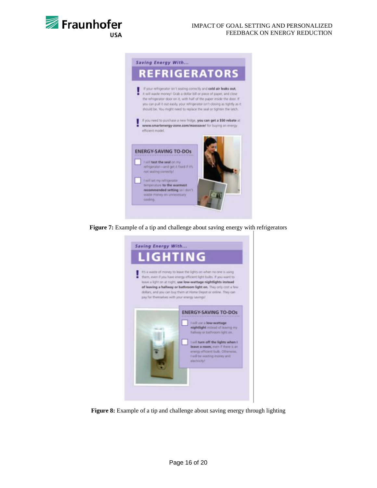



Figure 7: Example of a tip and challenge about saving energy with refrigerators



**Figure 8:** Example of a tip and challenge about saving energy through lighting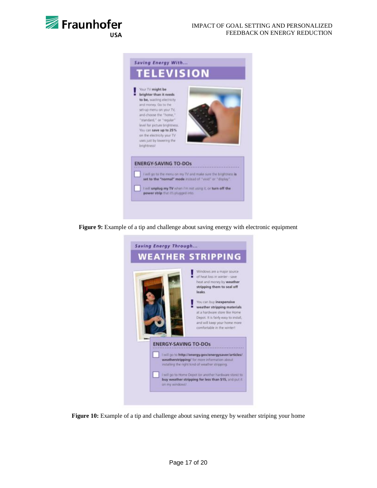



Figure 9: Example of a tip and challenge about saving energy with electronic equipment



Figure 10: Example of a tip and challenge about saving energy by weather striping your home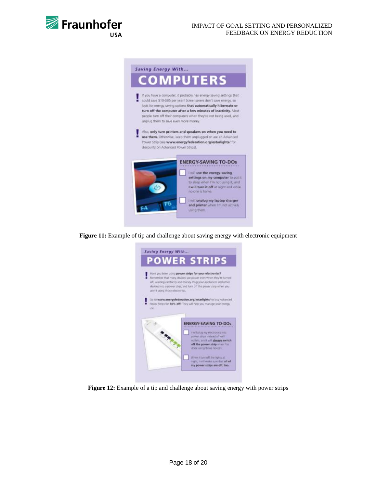



**Figure 11:** Example of tip and challenge about saving energy with electronic equipment



**Figure 12:** Example of a tip and challenge about saving energy with power strips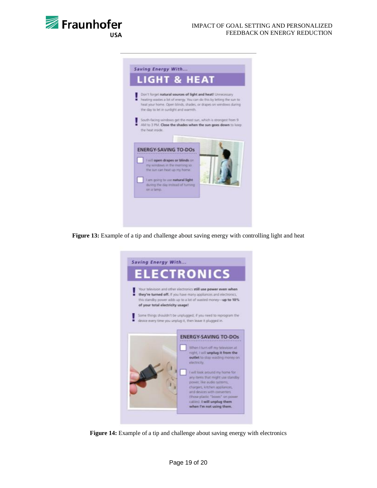



**Figure 13:** Example of a tip and challenge about saving energy with controlling light and heat



Figure 14: Example of a tip and challenge about saving energy with electronics